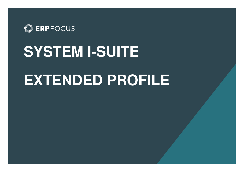

## **SYSTEM I-SUITE EXTENDED PROFILE**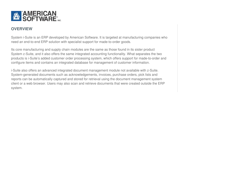

## **OVERVIEW**

System i-Suite is an ERP developed by American Software. It is targeted at manufacturing companies who need an end-to-end ERP solution with specialist support for made-to-order goods.

Its core manufacturing and supply chain modules are the same as those found in its sister product System z-Suite, and it also offers the same integrated accounting functionality. What separates the two products is i-Suite's added customer order processing system, which offers support for made-to-order and configure items and contains an integrated database for management of customer information.

i-Suite also offers an advanced integrated document management module not available with z-Suite. System-generated documents such as acknowledgements, invoices, purchase orders, pick lists and reports can be automatically captured and stored for retrieval using the document management system client or a web browser. Users may also scan and retrieve documents that were created outside the ERP system.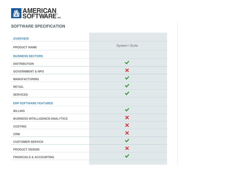

## **SOFTWARE SPECIFICATION**

| <b>OVERVIEW</b>                        |                      |
|----------------------------------------|----------------------|
| <b>PRODUCT NAME</b>                    | System i-Suite       |
| <b>BUSINESS SECTORS</b>                |                      |
| <b>DISTRIBUTION</b>                    | $\blacktriangledown$ |
| <b>GOVERNMENT &amp; NPO</b>            | X                    |
| <b>MANUFACTURING</b>                   | $\blacktriangledown$ |
| <b>RETAIL</b>                          | $\blacktriangledown$ |
| <b>SERVICES</b>                        | $\blacktriangledown$ |
| <b>ERP SOFTWARE FEATURES</b>           |                      |
| <b>BILLING</b>                         | $\blacktriangledown$ |
| <b>BUSINESS INTELLIGENCE/ANALYTICS</b> | X                    |
| <b>COSTING</b>                         | X                    |
| <b>CRM</b>                             | X                    |
| <b>CUSTOMER SERVICE</b>                | $\blacktriangledown$ |
| <b>PRODUCT DESIGN</b>                  | X                    |
| <b>FINANCIALS &amp; ACCOUNTING</b>     | $\blacktriangledown$ |
|                                        |                      |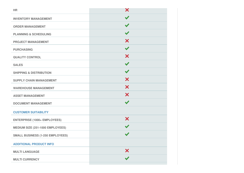| <b>HR</b>                               | X                    |
|-----------------------------------------|----------------------|
| <b>INVENTORY MANAGEMENT</b>             | $\blacktriangledown$ |
| <b>ORDER MANAGEMENT</b>                 | $\blacktriangledown$ |
| <b>PLANNING &amp; SCHEDULING</b>        | $\blacktriangledown$ |
| <b>PROJECT MANAGEMENT</b>               | X                    |
| <b>PURCHASING</b>                       | $\blacktriangledown$ |
| <b>QUALITY CONTROL</b>                  | X                    |
| <b>SALES</b>                            | $\blacktriangledown$ |
| <b>SHIPPING &amp; DISTRIBUTION</b>      | $\blacktriangledown$ |
| <b>SUPPLY CHAIN MANAGEMENT</b>          | X                    |
| <b>WAREHOUSE MANAGEMENT</b>             | X                    |
| <b>ASSET MANAGEMENT</b>                 | X                    |
| <b>DOCUMENT MANAGEMENT</b>              | $\blacktriangledown$ |
| <b>CUSTOMER SUITABILITY</b>             |                      |
| <b>ENTERPRISE (1000+ EMPLOYEES)</b>     | X                    |
| MEDIUM SIZE (251-1000 EMPLOYEES)        | $\blacktriangledown$ |
| <b>SMALL BUSINESS (1-250 EMPLOYEES)</b> |                      |
| <b>ADDITIONAL PRODUCT INFO</b>          |                      |
| <b>MULTI LANGUAGE</b>                   | X                    |
| <b>MULTI CURRENCY</b>                   |                      |
|                                         |                      |